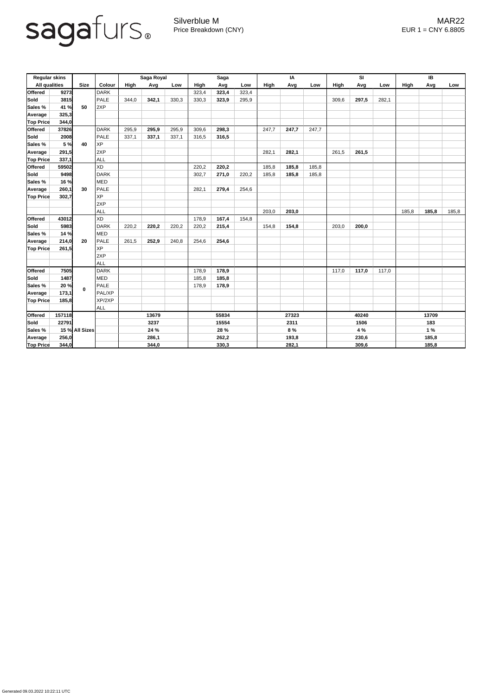

Generated 09.03.2022 10:22:11 UTC

Silverblue M MAR22 Price Breakdown (CNY) EUR 1 = CNY 6.8805

| <b>Regular skins</b> |        |                |               | Saga Royal |       |       | <b>Saga</b> |       |       | IA          |       |       | SI          |       |       | IB    |       |       |
|----------------------|--------|----------------|---------------|------------|-------|-------|-------------|-------|-------|-------------|-------|-------|-------------|-------|-------|-------|-------|-------|
| <b>All qualities</b> |        | <b>Size</b>    | <b>Colour</b> | High       | Avg   | Low   | <b>High</b> | Avg   | Low   | <b>High</b> | Avg   | Low   | <b>High</b> | Avg   | Low   | High  | Avg   | Low   |
| <b>Offered</b>       | 9273   |                | <b>DARK</b>   |            |       |       | 323,4       | 323,4 | 323,4 |             |       |       |             |       |       |       |       |       |
| Sold                 | 3815   | 50             | <b>PALE</b>   | 344,0      | 342,1 | 330,3 | 330,3       | 323,9 | 295,9 |             |       |       | 309,6       | 297,5 | 282,1 |       |       |       |
| Sales %              | 41 %   |                | 2XP           |            |       |       |             |       |       |             |       |       |             |       |       |       |       |       |
| Average              | 325,3  |                |               |            |       |       |             |       |       |             |       |       |             |       |       |       |       |       |
| <b>Top Price</b>     | 344,0  |                |               |            |       |       |             |       |       |             |       |       |             |       |       |       |       |       |
| <b>Offered</b>       | 37826  |                | <b>DARK</b>   | 295,9      | 295,9 | 295,9 | 309,6       | 298,3 |       | 247,7       | 247,7 | 247,7 |             |       |       |       |       |       |
| Sold                 | 2008   | 40             | <b>PALE</b>   | 337,1      | 337,1 | 337,1 | 316,5       | 316,5 |       |             |       |       |             |       |       |       |       |       |
| Sales %              | 5 %    |                | <b>XP</b>     |            |       |       |             |       |       |             |       |       |             |       |       |       |       |       |
| Average              | 291,5  |                | 2XP           |            |       |       |             |       |       | 282,1       | 282,1 |       | 261,5       | 261,5 |       |       |       |       |
| <b>Top Price</b>     | 337,1  |                | <b>ALL</b>    |            |       |       |             |       |       |             |       |       |             |       |       |       |       |       |
| <b>Offered</b>       | 59502  |                | <b>XD</b>     |            |       |       | 220,2       | 220,2 |       | 185,8       | 185,8 | 185,8 |             |       |       |       |       |       |
| Sold                 | 9498   |                | <b>DARK</b>   |            |       |       | 302,7       | 271,0 | 220,2 | 185,8       | 185,8 | 185,8 |             |       |       |       |       |       |
| Sales %              | 16 %   |                | <b>MED</b>    |            |       |       |             |       |       |             |       |       |             |       |       |       |       |       |
| Average              | 260,1  | 30             | <b>PALE</b>   |            |       |       | 282,1       | 279,4 | 254,6 |             |       |       |             |       |       |       |       |       |
| <b>Top Price</b>     | 302,7  |                | <b>XP</b>     |            |       |       |             |       |       |             |       |       |             |       |       |       |       |       |
|                      |        |                | 2XP           |            |       |       |             |       |       |             |       |       |             |       |       |       |       |       |
|                      |        |                | <b>ALL</b>    |            |       |       |             |       |       | 203,0       | 203,0 |       |             |       |       | 185,8 | 185,8 | 185,8 |
| <b>Offered</b>       | 43012  |                | <b>XD</b>     |            |       |       | 178,9       | 167,4 | 154,8 |             |       |       |             |       |       |       |       |       |
| Sold                 | 5983   |                | <b>DARK</b>   | 220,2      | 220,2 | 220,2 | 220,2       | 215,4 |       | 154,8       | 154,8 |       | 203,0       | 200,0 |       |       |       |       |
| Sales %              | 14 %   |                | <b>MED</b>    |            |       |       |             |       |       |             |       |       |             |       |       |       |       |       |
| Average              | 214,0  | 20             | <b>PALE</b>   | 261,5      | 252,9 | 240,8 | 254,6       | 254,6 |       |             |       |       |             |       |       |       |       |       |
| <b>Top Price</b>     | 261,5  |                | <b>XP</b>     |            |       |       |             |       |       |             |       |       |             |       |       |       |       |       |
|                      |        |                | 2XP           |            |       |       |             |       |       |             |       |       |             |       |       |       |       |       |
|                      |        |                | <b>ALL</b>    |            |       |       |             |       |       |             |       |       |             |       |       |       |       |       |
| <b>Offered</b>       | 7505   |                | <b>DARK</b>   |            |       |       | 178,9       | 178,9 |       |             |       |       | 117,0       | 117,0 | 117,0 |       |       |       |
| Sold                 | 1487   |                | <b>MED</b>    |            |       |       | 185,8       | 185,8 |       |             |       |       |             |       |       |       |       |       |
| Sales %              | 20 %   | $\mathbf 0$    | <b>PALE</b>   |            |       |       | 178,9       | 178,9 |       |             |       |       |             |       |       |       |       |       |
| Average              | 173,1  |                | PAL/XP        |            |       |       |             |       |       |             |       |       |             |       |       |       |       |       |
| <b>Top Price</b>     | 185,8  |                | XP/2XP        |            |       |       |             |       |       |             |       |       |             |       |       |       |       |       |
|                      |        |                | ALL           |            |       |       |             |       |       |             |       |       |             |       |       |       |       |       |
| <b>Offered</b>       | 157118 |                |               | 13679      |       |       | 55834       |       |       | 27323       |       |       | 40240       |       |       | 13709 |       |       |
| <b>Sold</b>          | 22791  |                |               | 3237       |       |       | 15554       |       |       | 2311        |       |       | 1506        |       |       | 183   |       |       |
| Sales %              |        | 15 % All Sizes |               | 24 %       |       |       | 28 %        |       |       | 8 %         |       |       | 4 %         |       |       | 1%    |       |       |
| Average              | 256,0  |                |               | 286,1      |       |       | 262,2       |       |       | 193,8       |       |       | 230,6       |       |       | 185,8 |       |       |
| <b>Top Price</b>     | 344,0  |                |               | 344,0      |       |       | 330,3       |       |       | 282,1       |       |       | 309,6       |       |       | 185,8 |       |       |